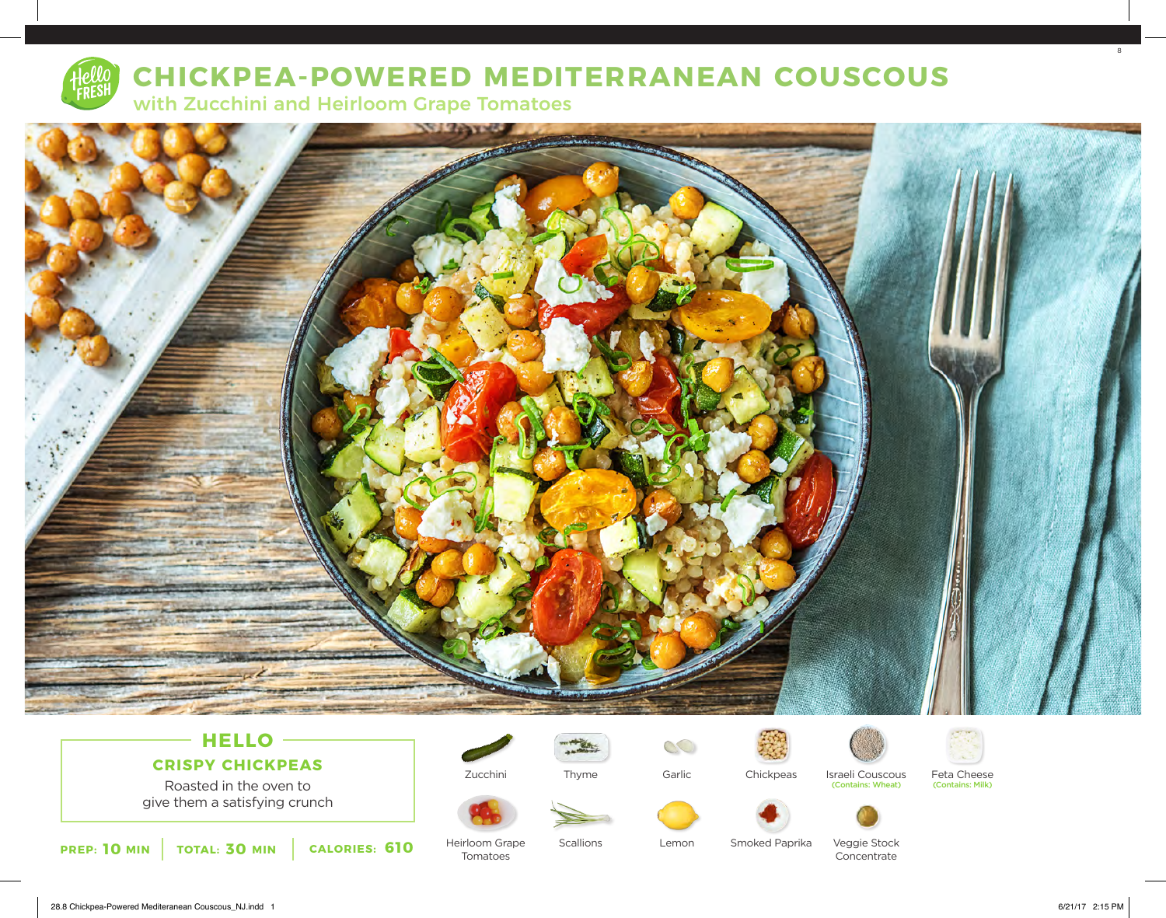

# **CHICKPEA-POWERED MEDITERRANEAN COUSCOUS**

with Zucchini and Heirloom Grape Tomatoes



## **HELLO CRISPY CHICKPEAS**

Roasted in the oven to give them a satisfying crunch



Zucchini

Tomatoes



 $\mathcal{C}$ Garlic







Feta Cheese<br>(Contains: Milk)





Smoked Paprika Lemon

Veggie Stock Concentrate

(Contains: Wheat)

8